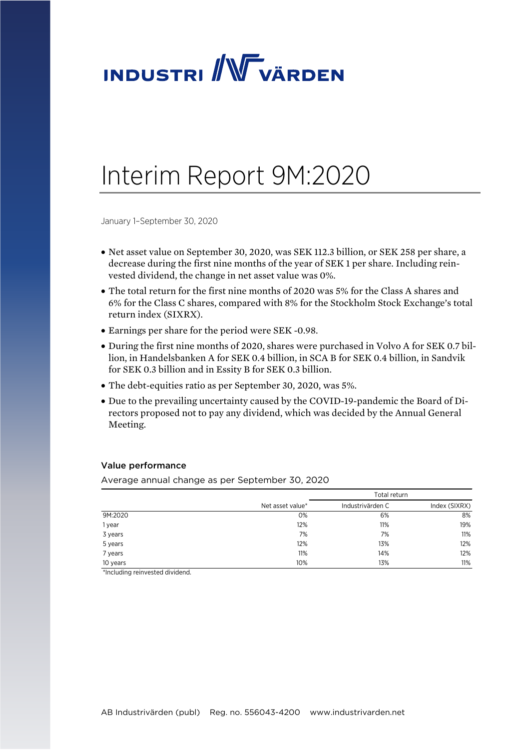

# Interim Report 9M:2020

January 1–September 30, 2020

- Net asset value on September 30, 2020, was SEK 112.3 billion, or SEK 258 per share, a decrease during the first nine months of the year of SEK 1 per share. Including reinvested dividend, the change in net asset value was 0%.
- The total return for the first nine months of 2020 was 5% for the Class A shares and 6% for the Class C shares, compared with 8% for the Stockholm Stock Exchange's total return index (SIXRX).
- Earnings per share for the period were SEK -0.98.
- During the first nine months of 2020, shares were purchased in Volvo A for SEK 0.7 billion, in Handelsbanken A for SEK 0.4 billion, in SCA B for SEK 0.4 billion, in Sandvik for SEK 0.3 billion and in Essity B for SEK 0.3 billion.
- The debt-equities ratio as per September 30, 2020, was 5%.
- Due to the prevailing uncertainty caused by the COVID-19-pandemic the Board of Directors proposed not to pay any dividend, which was decided by the Annual General Meeting.

### Value performance

Average annual change as per September 30, 2020

|          |                  | Total return     |               |
|----------|------------------|------------------|---------------|
|          | Net asset value* | Industrivärden C | Index (SIXRX) |
| 9M:2020  | 0%               | 6%               | 8%            |
| 1 year   | 12%              | 11%              | 19%           |
| 3 years  | 7%               | 7%               | 11%           |
| 5 years  | 12%              | 13%              | 12%           |
| 7 years  | 11%              | 14%              | 12%           |
| 10 years | 10%              | 13%              | 11%           |

\*Including reinvested dividend.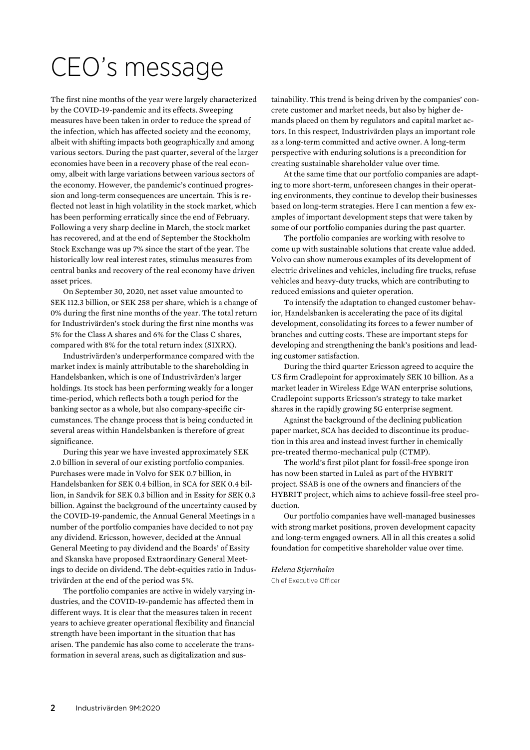# CEO's message

The first nine months of the year were largely characterized by the COVID-19-pandemic and its effects. Sweeping measures have been taken in order to reduce the spread of the infection, which has affected society and the economy, albeit with shifting impacts both geographically and among various sectors. During the past quarter, several of the larger economies have been in a recovery phase of the real economy, albeit with large variations between various sectors of the economy. However, the pandemic's continued progression and long-term consequences are uncertain. This is reflected not least in high volatility in the stock market, which has been performing erratically since the end of February. Following a very sharp decline in March, the stock market has recovered, and at the end of September the Stockholm Stock Exchange was up 7% since the start of the year. The historically low real interest rates, stimulus measures from central banks and recovery of the real economy have driven asset prices.

On September 30, 2020, net asset value amounted to SEK 112.3 billion, or SEK 258 per share, which is a change of 0% during the first nine months of the year. The total return for Industrivärden's stock during the first nine months was 5% for the Class A shares and 6% for the Class C shares, compared with 8% for the total return index (SIXRX).

Industrivärden's underperformance compared with the market index is mainly attributable to the shareholding in Handelsbanken, which is one of Industrivärden's larger holdings. Its stock has been performing weakly for a longer time-period, which reflects both a tough period for the banking sector as a whole, but also company-specific circumstances. The change process that is being conducted in several areas within Handelsbanken is therefore of great significance.

During this year we have invested approximately SEK 2.0 billion in several of our existing portfolio companies. Purchases were made in Volvo for SEK 0.7 billion, in Handelsbanken for SEK 0.4 billion, in SCA for SEK 0.4 billion, in Sandvik for SEK 0.3 billion and in Essity for SEK 0.3 billion. Against the background of the uncertainty caused by the COVID-19-pandemic, the Annual General Meetings in a number of the portfolio companies have decided to not pay any dividend. Ericsson, however, decided at the Annual General Meeting to pay dividend and the Boards' of Essity and Skanska have proposed Extraordinary General Meetings to decide on dividend. The debt-equities ratio in Industrivärden at the end of the period was 5%.

The portfolio companies are active in widely varying industries, and the COVID-19-pandemic has affected them in different ways. It is clear that the measures taken in recent years to achieve greater operational flexibility and financial strength have been important in the situation that has arisen. The pandemic has also come to accelerate the transformation in several areas, such as digitalization and sus-

tainability. This trend is being driven by the companies' concrete customer and market needs, but also by higher demands placed on them by regulators and capital market actors. In this respect, Industrivärden plays an important role as a long-term committed and active owner. A long-term perspective with enduring solutions is a precondition for creating sustainable shareholder value over time.

At the same time that our portfolio companies are adapting to more short-term, unforeseen changes in their operating environments, they continue to develop their businesses based on long-term strategies. Here I can mention a few examples of important development steps that were taken by some of our portfolio companies during the past quarter.

The portfolio companies are working with resolve to come up with sustainable solutions that create value added. Volvo can show numerous examples of its development of electric drivelines and vehicles, including fire trucks, refuse vehicles and heavy-duty trucks, which are contributing to reduced emissions and quieter operation.

To intensify the adaptation to changed customer behavior, Handelsbanken is accelerating the pace of its digital development, consolidating its forces to a fewer number of branches and cutting costs. These are important steps for developing and strengthening the bank's positions and leading customer satisfaction.

During the third quarter Ericsson agreed to acquire the US firm Cradlepoint for approximately SEK 10 billion. As a market leader in Wireless Edge WAN enterprise solutions, Cradlepoint supports Ericsson's strategy to take market shares in the rapidly growing 5G enterprise segment.

Against the background of the declining publication paper market, SCA has decided to discontinue its production in this area and instead invest further in chemically pre-treated thermo-mechanical pulp (CTMP).

The world's first pilot plant for fossil-free sponge iron has now been started in Luleå as part of the HYBRIT project. SSAB is one of the owners and financiers of the HYBRIT project, which aims to achieve fossil-free steel production.

Our portfolio companies have well-managed businesses with strong market positions, proven development capacity and long-term engaged owners. All in all this creates a solid foundation for competitive shareholder value over time.

#### *Helena Stjernholm*  Chief Executive Officer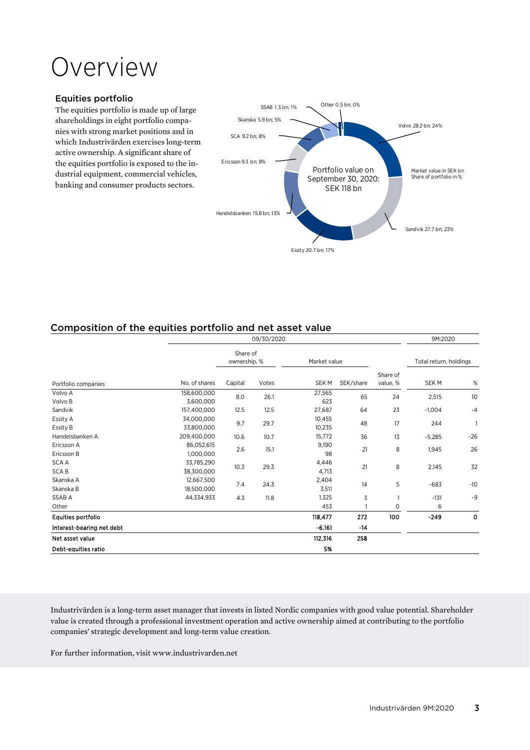# Overview

### Equities portfolio

The equities portfolio is made up of large shareholdings in eight portfolio companies with strong market positions and in which Industrivärden exercises long-term active ownership. A significant share of the equities portfolio is exposed to the industrial equipment, commercial vehicles, banking and consumer products sectors.



# Composition of the equities portfolio and net asset value

|                             | 09/30/2020               |                          |       |                  | 9M:2020   |                      |                        |             |
|-----------------------------|--------------------------|--------------------------|-------|------------------|-----------|----------------------|------------------------|-------------|
|                             |                          | Share of<br>ownership, % |       | Market value     |           |                      | Total return, holdings |             |
| Portfolio companies         | No. of shares            | Capital                  | Votes | <b>SEKM</b>      | SEK/share | Share of<br>value, % | SEK M                  | $\%$        |
| Volvo A<br>Volvo B          | 158,600,000<br>3,600,000 | 8.0                      | 26.1  | 27,565<br>623    | 65        | 24                   | 2,515                  | 10          |
| Sandvik                     | 157,400,000              | 12.5                     | 12.5  | 27,687           | 64        | 23                   | $-1,004$               | $-4$        |
| Essity A<br>Essity B        | 34,000,000<br>33,800,000 | 9.7                      | 29.7  | 10,455<br>10,235 | 48        | 17                   | 244                    |             |
| Handelsbanken A             | 209,400,000              | 10.6                     | 10.7  | 15,772           | 36        | 13                   | $-5,285$               | $-26$       |
| Ericsson A<br>Ericsson B    | 86,052,615<br>1,000,000  | 2.6                      | 15.1  | 9,190<br>98      | 21        | 8                    | 1,945                  | 26          |
| <b>SCA A</b><br><b>SCAB</b> | 33,785,290<br>38,300,000 | 10.3                     | 29.3  | 4,446<br>4,713   | 21        | 8                    | 2,145                  | 32          |
| Skanska A<br>Skanska B      | 12,667,500<br>18,500,000 | 7.4                      | 24.3  | 2,404<br>3,511   | 14        | 5                    | $-683$                 | $-10$       |
| SSAB A                      | 44,334,933               | 4.3                      | 11.8  | 1,325            | 3         |                      | $-131$                 | -9          |
| Other                       |                          |                          |       | 453              |           | 0                    | 6                      |             |
| Equities portfolio          |                          |                          |       | 118,477          | 272       | 100                  | $-249$                 | $\mathbf 0$ |
| Interest-bearing net debt   |                          |                          |       | $-6,161$         | -14       |                      |                        |             |
| Net asset value             |                          |                          |       | 112,316          | 258       |                      |                        |             |
| Debt-equities ratio         |                          |                          |       | 5%               |           |                      |                        |             |

Industrivärden is a long-term asset manager that invests in listed Nordic companies with good value potential. Shareholder value is created through a professional investment operation and active ownership aimed at contributing to the portfolio companies' strategic development and long-term value creation.

For further information, visit www.industrivarden.net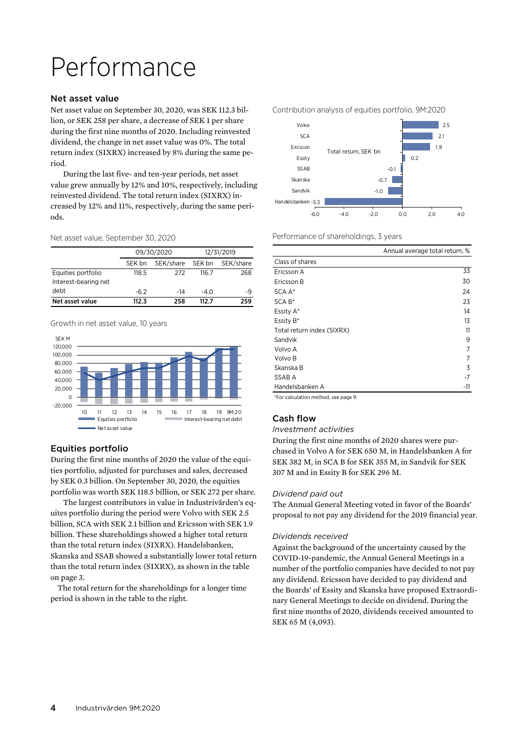# Performance

### Net asset value

Net asset value on September 30, 2020, was SEK 112.3 billion, or SEK 258 per share, a decrease of SEK 1 per share during the first nine months of 2020. Including reinvested dividend, the change in net asset value was 0%. The total return index (SIXRX) increased by 8% during the same period.

During the last five- and ten-year periods, net asset value grew annually by 12% and 10%, respectively, including reinvested dividend. The total return index (SIXRX) increased by 12% and 11%, respectively, during the same periods.

Net asset value, September 30, 2020

|                      |        | 09/30/2020 | 12/31/2019 |           |  |
|----------------------|--------|------------|------------|-----------|--|
|                      | SEK bn | SEK/share  | SEK bn     | SEK/share |  |
| Equities portfolio   | 118.5  | 272        | 116.7      | 268       |  |
| Interest-bearing net |        |            |            |           |  |
| debt                 | $-6.2$ | -14        | $-4.0$     | -9        |  |
| Net asset value      | 112.3  | 258        | 112 7      | 259       |  |

Growth in net asset value, 10 years



### Equities portfolio

During the first nine months of 2020 the value of the equities portfolio, adjusted for purchases and sales, decreased by SEK 0.3 billion. On September 30, 2020, the equities portfolio was worth SEK 118.5 billion, or SEK 272 per share.

The largest contributors in value in Industrivärden's equites portfolio during the period were Volvo with SEK 2.5 billion, SCA with SEK 2.1 billion and Ericsson with SEK 1.9 billion. These shareholdings showed a higher total return than the total return index (SIXRX). Handelsbanken, Skanska and SSAB showed a substantially lower total return than the total return index (SIXRX), as shown in the table on page 3.

 The total return for the shareholdings for a longer time period is shown in the table to the right.



Performance of shareholdings, 3 years

| Annual average total return, %                      |     |
|-----------------------------------------------------|-----|
| Class of shares                                     |     |
| Ericsson A                                          | 33  |
| Ericsson B                                          | 30  |
| SCA A*                                              | 24  |
| SCA B*                                              | 23  |
| Essity A*                                           | 14  |
| Essity B*                                           | 13  |
| Total return index (SIXRX)                          | 11  |
| Sandvik                                             | 9   |
| Volvo A                                             | 7   |
| Volvo B                                             | 7   |
| Skanska B                                           | 3   |
| SSAB A                                              | -7  |
| Handelsbanken A                                     | -11 |
| *⊏ do de la clata de la distribución de la contra O |     |

\*For calculation method, see page 9.

### Cash flow

#### *Investment activities*

During the first nine months of 2020 shares were purchased in Volvo A for SEK 650 M, in Handelsbanken A for SEK 382 M, in SCA B for SEK 355 M, in Sandvik for SEK 307 M and in Essity B for SEK 296 M.

### *Dividend paid out*

The Annual General Meeting voted in favor of the Boards' proposal to not pay any dividend for the 2019 financial year.

### *Dividends received*

Against the background of the uncertainty caused by the COVID-19-pandemic, the Annual General Meetings in a number of the portfolio companies have decided to not pay any dividend. Ericsson have decided to pay dividend and the Boards' of Essity and Skanska have proposed Extraordinary General Meetings to decide on dividend. During the first nine months of 2020, dividends received amounted to SEK 65 M (4,093).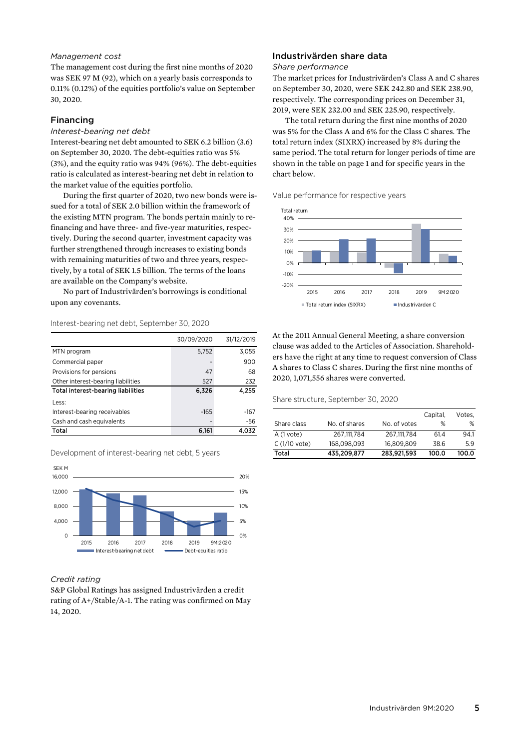### *Management cost*

The management cost during the first nine months of 2020 was SEK 97 M (92), which on a yearly basis corresponds to 0.11% (0.12%) of the equities portfolio's value on September 30, 2020.

### Financing

### *Interest-bearing net debt*

Interest-bearing net debt amounted to SEK 6.2 billion (3.6) on September 30, 2020. The debt-equities ratio was 5% (3%), and the equity ratio was 94% (96%). The debt-equities ratio is calculated as interest-bearing net debt in relation to the market value of the equities portfolio.

During the first quarter of 2020, two new bonds were issued for a total of SEK 2.0 billion within the framework of the existing MTN program. The bonds pertain mainly to refinancing and have three- and five-year maturities, respectively. During the second quarter, investment capacity was further strengthened through increases to existing bonds with remaining maturities of two and three years, respectively, by a total of SEK 1.5 billion. The terms of the loans are available on the Company's website.

No part of Industrivärden's borrowings is conditional upon any covenants.

#### Interest-bearing net debt, September 30, 2020

|                                           | 30/09/2020 | 31/12/2019 |
|-------------------------------------------|------------|------------|
| MTN program                               | 5,752      | 3,055      |
| Commercial paper                          |            | 900        |
| Provisions for pensions                   | 47         | 68         |
| Other interest-bearing liabilities        | 527        | 232        |
| <b>Total interest-bearing liabilities</b> | 6,326      | 4.255      |
| Less:                                     |            |            |
| Interest-bearing receivables              | $-165$     | $-167$     |
| Cash and cash equivalents                 |            | -56        |
| Total                                     | 6,161      | 4.032      |

Development of interest-bearing net debt, 5 years



### *Credit rating*

S&P Global Ratings has assigned Industrivärden a credit rating of A+/Stable/A-1. The rating was confirmed on May 14, 2020.

### Industrivärden share data

#### *Share performance*

The market prices for Industrivärden's Class A and C shares on September 30, 2020, were SEK 242.80 and SEK 238.90, respectively. The corresponding prices on December 31, 2019, were SEK 232.00 and SEK 225.90, respectively.

The total return during the first nine months of 2020 was 5% for the Class A and 6% for the Class C shares. The total return index (SIXRX) increased by 8% during the same period. The total return for longer periods of time are shown in the table on page 1 and for specific years in the chart below.

Value performance for respective years



At the 2011 Annual General Meeting, a share conversion clause was added to the Articles of Association. Shareholders have the right at any time to request conversion of Class A shares to Class C shares. During the first nine months of 2020, 1,071,556 shares were converted.

Share structure, September 30, 2020

|               |               |              | Capital, | Votes. |
|---------------|---------------|--------------|----------|--------|
| Share class   | No. of shares | No. of votes | %        | %      |
| A (1 vote)    | 267.111.784   | 267.111.784  | 61.4     | 94.1   |
| C (1/10 vote) | 168.098.093   | 16.809.809   | 38.6     | 5.9    |
| Total         | 435,209,877   | 283.921.593  | 100.0    | 100.0  |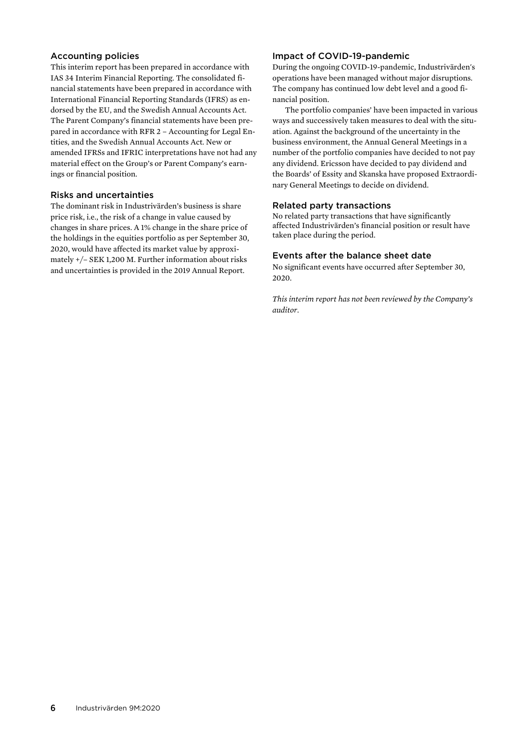### Accounting policies

This interim report has been prepared in accordance with IAS 34 Interim Financial Reporting. The consolidated financial statements have been prepared in accordance with International Financial Reporting Standards (IFRS) as endorsed by the EU, and the Swedish Annual Accounts Act. The Parent Company's financial statements have been prepared in accordance with RFR 2 – Accounting for Legal Entities, and the Swedish Annual Accounts Act. New or amended IFRSs and IFRIC interpretations have not had any material effect on the Group's or Parent Company's earnings or financial position.

### Risks and uncertainties

The dominant risk in Industrivärden's business is share price risk, i.e., the risk of a change in value caused by changes in share prices. A 1% change in the share price of the holdings in the equities portfolio as per September 30, 2020, would have affected its market value by approximately +/– SEK 1,200 M. Further information about risks and uncertainties is provided in the 2019 Annual Report.

### Impact of COVID-19-pandemic

During the ongoing COVID-19-pandemic, Industrivärden's operations have been managed without major disruptions. The company has continued low debt level and a good financial position.

The portfolio companies' have been impacted in various ways and successively taken measures to deal with the situation. Against the background of the uncertainty in the business environment, the Annual General Meetings in a number of the portfolio companies have decided to not pay any dividend. Ericsson have decided to pay dividend and the Boards' of Essity and Skanska have proposed Extraordinary General Meetings to decide on dividend.

### Related party transactions

No related party transactions that have significantly affected Industrivärden's financial position or result have taken place during the period.

### Events after the balance sheet date

No significant events have occurred after September 30, 2020.

*This interim report has not been reviewed by the Company's auditor.*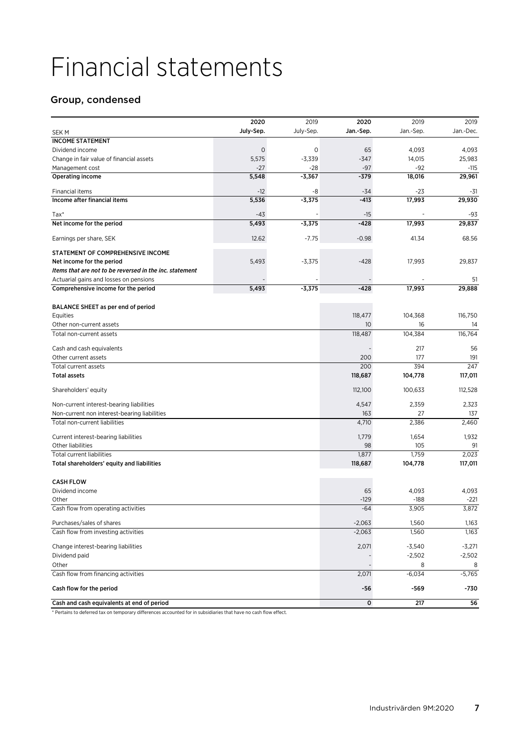# Financial statements

# Group, condensed

|                                                         | 2020      | 2019      | 2020      | 2019      | 2019      |
|---------------------------------------------------------|-----------|-----------|-----------|-----------|-----------|
| <b>SEKM</b>                                             | July-Sep. | July-Sep. | Jan.-Sep. | Jan.-Sep. | Jan.-Dec. |
| <b>INCOME STATEMENT</b>                                 |           |           |           |           |           |
| Dividend income                                         | 0         | 0         | 65        | 4,093     | 4,093     |
| Change in fair value of financial assets                | 5,575     | $-3,339$  | $-347$    | 14,015    | 25,983    |
| Management cost                                         | -27       | $-28$     | $-97$     | $-92$     | $-115$    |
| Operating income                                        | 5,548     | $-3,367$  | $-379$    | 18,016    | 29,961    |
| <b>Financial items</b>                                  | $-12$     | -8        | $-34$     | -23       | -31       |
| Income after financial items                            | 5,536     | $-3,375$  | $-413$    | 17,993    | 29,930    |
| $Tax^*$                                                 | $-43$     |           | $-15$     |           | -93       |
| Net income for the period                               | 5,493     | $-3,375$  | $-428$    | 17,993    | 29,837    |
| Earnings per share, SEK                                 | 12.62     | $-7.75$   | $-0.98$   | 41.34     | 68.56     |
| STATEMENT OF COMPREHENSIVE INCOME                       |           |           |           |           |           |
| Net income for the period                               | 5,493     | $-3,375$  | $-428$    | 17,993    | 29,837    |
| Items that are not to be reversed in the inc. statement |           |           |           |           |           |
| Actuarial gains and losses on pensions                  |           |           |           |           | 51        |
| Comprehensive income for the period                     | 5,493     | $-3,375$  | $-428$    | 17,993    | 29,888    |
| BALANCE SHEET as per end of period                      |           |           |           |           |           |
| Equities                                                |           |           | 118,477   | 104,368   | 116,750   |
| Other non-current assets                                |           |           | 10        | 16        | 14        |
| Total non-current assets                                |           |           | 118,487   | 104,384   | 116,764   |
| Cash and cash equivalents                               |           |           |           | 217       | 56        |
| Other current assets                                    |           |           | 200       | 177       | 191       |
| Total current assets                                    |           |           | 200       | 394       | 247       |
| <b>Total assets</b>                                     |           |           | 118,687   | 104,778   | 117,011   |
| Shareholders' equity                                    |           |           | 112,100   | 100,633   | 112,528   |
| Non-current interest-bearing liabilities                |           |           | 4,547     | 2,359     | 2,323     |
| Non-current non interest-bearing liabilities            |           |           | 163       | 27        | 137       |
| Total non-current liabilities                           |           |           | 4,710     | 2,386     | 2,460     |
| Current interest-bearing liabilities                    |           |           | 1,779     | 1,654     | 1,932     |
| Other liabilities                                       |           |           | 98        | 105       | 91        |
| <b>Total current liabilities</b>                        |           |           | 1,877     | 1,759     | 2,023     |
| Total shareholders' equity and liabilities              |           |           | 118,687   | 104,778   | 117,011   |
| <b>CASH FLOW</b>                                        |           |           |           |           |           |
| Dividend income                                         |           |           | 65        | 4,093     | 4,093     |
| Other                                                   |           |           | $-129$    | $-188$    | $-221$    |
| Cash flow from operating activities                     |           |           | $-64$     | 3,905     | 3,872     |
| Purchases/sales of shares                               |           |           | $-2,063$  | 1,560     | 1,163     |
| Cash flow from investing activities                     |           |           | $-2,063$  | 1,560     | 1,163     |
| Change interest-bearing liabilities                     |           |           | 2,071     | $-3,540$  | $-3,271$  |
| Dividend paid                                           |           |           |           | $-2,502$  | $-2,502$  |
| Other                                                   |           |           |           | 8         | 8         |
| Cash flow from financing activities                     |           |           | 2,071     | $-6,034$  | $-5,765$  |
| Cash flow for the period                                |           |           | -56       | -569      | -730      |
| Cash and cash equivalents at end of period              |           |           | 0         | 217       | 56        |

\* Pertains to deferred tax on temporary differences accounted for in subsidiaries that have no cash flow effect.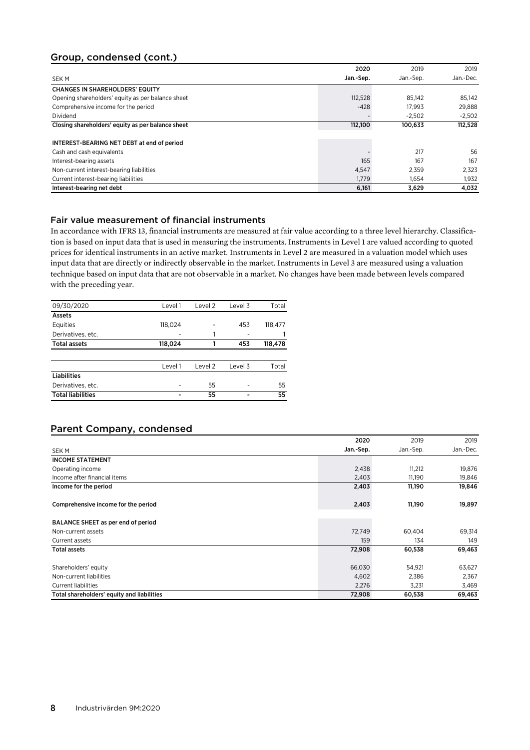## Group, condensed (cont.)

|                                                   | 2020      | 2019      | 2019      |
|---------------------------------------------------|-----------|-----------|-----------|
| SEK M                                             | Jan.-Sep. | Jan.-Sep. | Jan.-Dec. |
| <b>CHANGES IN SHAREHOLDERS' EQUITY</b>            |           |           |           |
| Opening shareholders' equity as per balance sheet | 112,528   | 85.142    | 85,142    |
| Comprehensive income for the period               | $-428$    | 17.993    | 29.888    |
| Dividend                                          |           | $-2.502$  | $-2.502$  |
| Closing shareholders' equity as per balance sheet | 112,100   | 100,633   | 112,528   |
|                                                   |           |           |           |
| INTEREST-BEARING NET DEBT at end of period        |           |           |           |
| Cash and cash equivalents                         |           | 217       | 56        |
| Interest-bearing assets                           | 165       | 167       | 167       |
| Non-current interest-bearing liabilities          | 4,547     | 2.359     | 2,323     |
| Current interest-bearing liabilities              | 1.779     | 1.654     | 1,932     |
| Interest-bearing net debt                         | 6,161     | 3.629     | 4,032     |

### Fair value measurement of financial instruments

In accordance with IFRS 13, financial instruments are measured at fair value according to a three level hierarchy. Classification is based on input data that is used in measuring the instruments. Instruments in Level 1 are valued according to quoted prices for identical instruments in an active market. Instruments in Level 2 are measured in a valuation model which uses input data that are directly or indirectly observable in the market. Instruments in Level 3 are measured using a valuation technique based on input data that are not observable in a market. No changes have been made between levels compared with the preceding year.

| 09/30/2020               | Level 1 | Level 2 | Level 3 | Total   |
|--------------------------|---------|---------|---------|---------|
| Assets                   |         |         |         |         |
| Equities                 | 118,024 |         | 453     | 118,477 |
| Derivatives, etc.        |         |         |         |         |
| <b>Total assets</b>      | 118,024 |         | 453     | 118,478 |
|                          |         |         |         |         |
|                          | Level 1 | Level 2 | Level 3 | Total   |
| <b>Liabilities</b>       |         |         |         |         |
| Derivatives, etc.        |         | 55      |         | 55      |
| <b>Total liabilities</b> |         | 55      |         | 55      |

## Parent Company, condensed

|                                            | 2020      | 2019      | 2019      |
|--------------------------------------------|-----------|-----------|-----------|
| SEK M                                      | Jan.-Sep. | Jan.-Sep. | Jan.-Dec. |
| <b>INCOME STATEMENT</b>                    |           |           |           |
| Operating income                           | 2,438     | 11,212    | 19,876    |
| Income after financial items               | 2,403     | 11,190    | 19,846    |
| Income for the period                      | 2,403     | 11,190    | 19,846    |
| Comprehensive income for the period        | 2,403     | 11,190    | 19,897    |
| BALANCE SHEET as per end of period         |           |           |           |
| Non-current assets                         | 72,749    | 60,404    | 69,314    |
| Current assets                             | 159       | 134       | 149       |
| <b>Total assets</b>                        | 72,908    | 60,538    | 69,463    |
| Shareholders' equity                       | 66,030    | 54,921    | 63,627    |
| Non-current liabilities                    | 4,602     | 2,386     | 2,367     |
| <b>Current liabilities</b>                 | 2,276     | 3,231     | 3,469     |
| Total shareholders' equity and liabilities | 72,908    | 60,538    | 69,463    |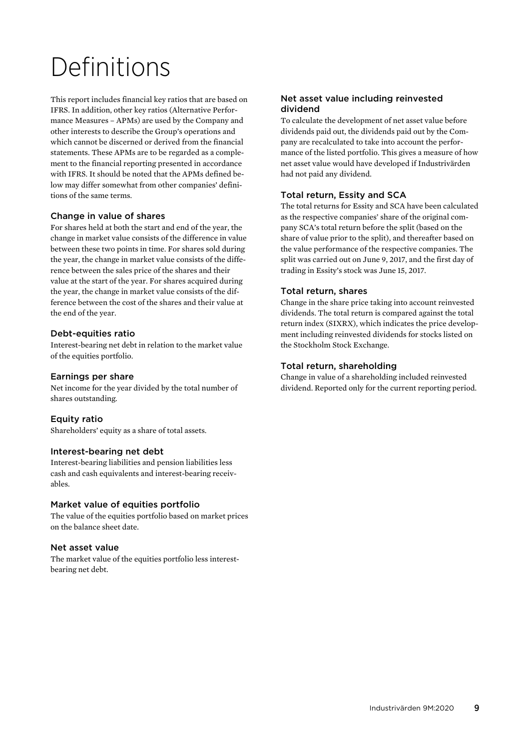# Definitions

This report includes financial key ratios that are based on IFRS. In addition, other key ratios (Alternative Performance Measures – APMs) are used by the Company and other interests to describe the Group's operations and which cannot be discerned or derived from the financial statements. These APMs are to be regarded as a complement to the financial reporting presented in accordance with IFRS. It should be noted that the APMs defined below may differ somewhat from other companies' definitions of the same terms.

## Change in value of shares

For shares held at both the start and end of the year, the change in market value consists of the difference in value between these two points in time. For shares sold during the year, the change in market value consists of the difference between the sales price of the shares and their value at the start of the year. For shares acquired during the year, the change in market value consists of the difference between the cost of the shares and their value at the end of the year.

### Debt-equities ratio

Interest-bearing net debt in relation to the market value of the equities portfolio.

### Earnings per share

Net income for the year divided by the total number of shares outstanding.

## Equity ratio

Shareholders' equity as a share of total assets.

### Interest-bearing net debt

Interest-bearing liabilities and pension liabilities less cash and cash equivalents and interest-bearing receivables.

### Market value of equities portfolio

The value of the equities portfolio based on market prices on the balance sheet date.

### Net asset value

The market value of the equities portfolio less interestbearing net debt.

### Net asset value including reinvested dividend

To calculate the development of net asset value before dividends paid out, the dividends paid out by the Company are recalculated to take into account the performance of the listed portfolio. This gives a measure of how net asset value would have developed if Industrivärden had not paid any dividend.

## Total return, Essity and SCA

The total returns for Essity and SCA have been calculated as the respective companies' share of the original company SCA's total return before the split (based on the share of value prior to the split), and thereafter based on the value performance of the respective companies. The split was carried out on June 9, 2017, and the first day of trading in Essity's stock was June 15, 2017.

### Total return, shares

Change in the share price taking into account reinvested dividends. The total return is compared against the total return index (SIXRX), which indicates the price development including reinvested dividends for stocks listed on the Stockholm Stock Exchange.

### Total return, shareholding

Change in value of a shareholding included reinvested dividend. Reported only for the current reporting period.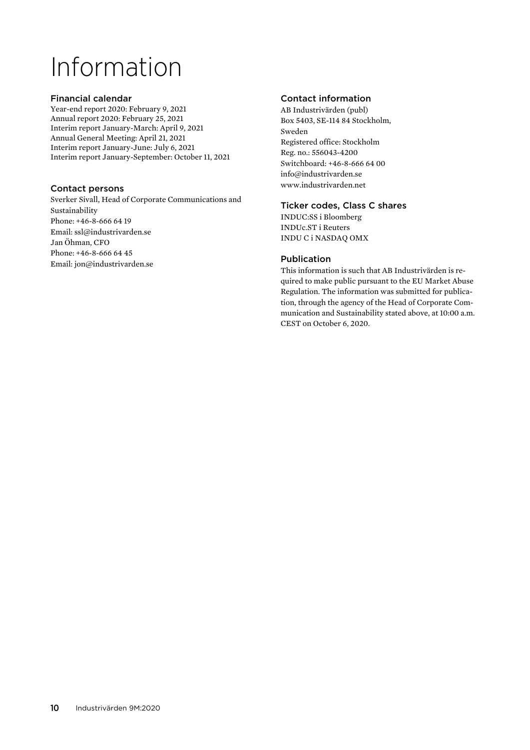# Information

### Financial calendar

Year-end report 2020: February 9, 2021 Annual report 2020: February 25, 2021 Interim report January-March: April 9, 2021 Annual General Meeting: April 21, 2021 Interim report January-June: July 6, 2021 Interim report January-September: October 11, 2021

### Contact persons

Sverker Sivall, Head of Corporate Communications and Sustainability Phone: +46-8-666 64 19 Email: ssl@industrivarden.se Jan Öhman, CFO Phone: +46-8-666 64 45 Email: jon@industrivarden.se

## Contact information

AB Industrivärden (publ) Box 5403, SE-114 84 Stockholm, Sweden Registered office: Stockholm Reg. no.: 556043-4200 Switchboard: +46-8-666 64 00 info@industrivarden.se www.industrivarden.net

### Ticker codes, Class C shares

INDUC:SS i Bloomberg INDUc.ST i Reuters INDU C i NASDAQ OMX

## Publication

This information is such that AB Industrivärden is required to make public pursuant to the EU Market Abuse Regulation. The information was submitted for publication, through the agency of the Head of Corporate Communication and Sustainability stated above, at 10:00 a.m. CEST on October 6, 2020.